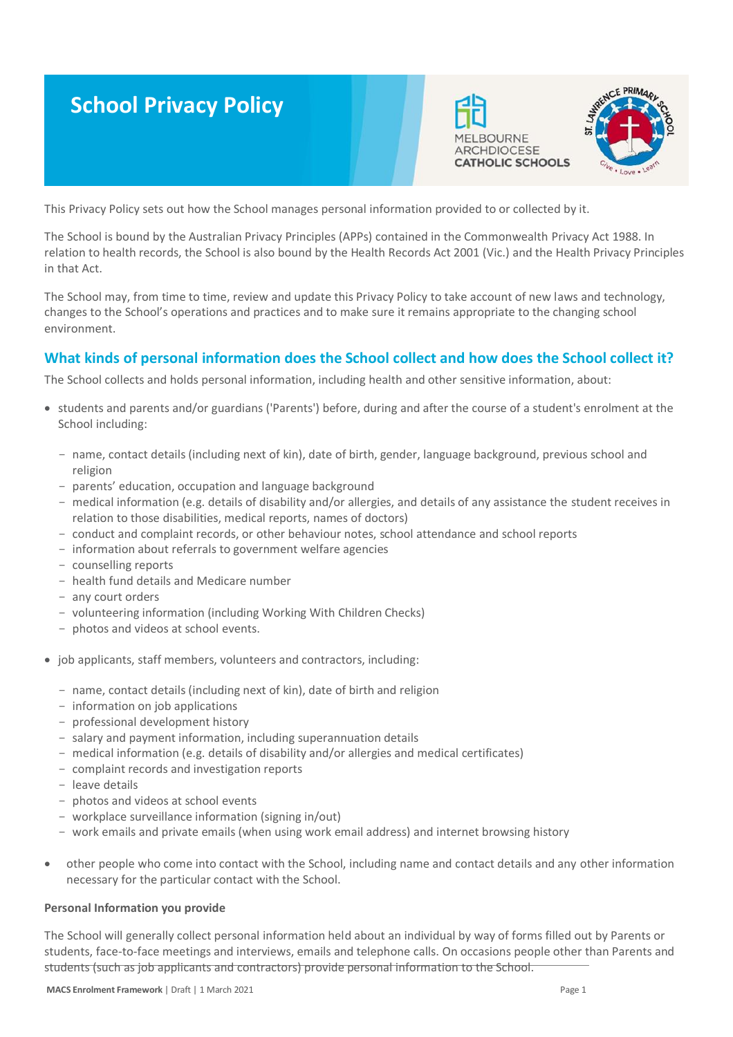# **School Privacy Policy**





This Privacy Policy sets out how the School manages personal information provided to or collected by it.

The School is bound by the Australian Privacy Principles (APPs) contained in the Commonwealth Privacy Act 1988. In relation to health records, the School is also bound by the Health Records Act 2001 (Vic.) and the Health Privacy Principles in that Act.

The School may, from time to time, review and update this Privacy Policy to take account of new laws and technology, changes to the School's operations and practices and to make sure it remains appropriate to the changing school environment.

# **What kinds of personal information does the School collect and how does the School collect it?**

The School collects and holds personal information, including health and other sensitive information, about:

- students and parents and/or guardians ('Parents') before, during and after the course of a student's enrolment at the School including:
	- name, contact details (including next of kin), date of birth, gender, language background, previous school and religion
	- parents' education, occupation and language background
	- medical information (e.g. details of disability and/or allergies, and details of any assistance the student receives in relation to those disabilities, medical reports, names of doctors)
	- conduct and complaint records, or other behaviour notes, school attendance and school reports
	- information about referrals to government welfare agencies
	- counselling reports
	- health fund details and Medicare number
	- any court orders
	- volunteering information (including Working With Children Checks)
	- photos and videos at school events.
- job applicants, staff members, volunteers and contractors, including:
	- name, contact details (including next of kin), date of birth and religion
	- information on job applications
	- professional development history
	- salary and payment information, including superannuation details
	- medical information (e.g. details of disability and/or allergies and medical certificates)
	- complaint records and investigation reports
	- leave details
	- photos and videos at school events
	- workplace surveillance information (signing in/out)
	- work emails and private emails (when using work email address) and internet browsing history
- other people who come into contact with the School, including name and contact details and any other information necessary for the particular contact with the School.

#### **Personal Information you provide**

The School will generally collect personal information held about an individual by way of forms filled out by Parents or students, face-to-face meetings and interviews, emails and telephone calls. On occasions people other than Parents and students (such as job applicants and contractors) provide personal information to the School.

**MACS Enrolment Framework | Draft | 1 March 2021 Page 1 Page 1 Page 1 Page 1 Page 1 Page 1 Page 1 Page 1 Page 1**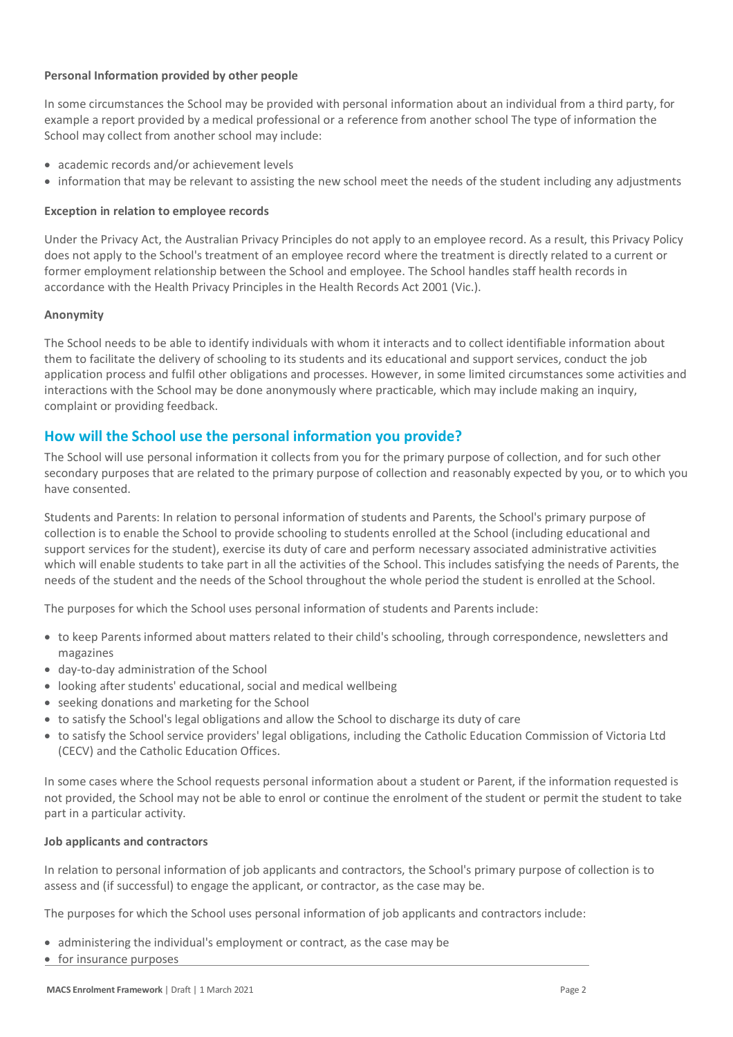# **Personal Information provided by other people**

In some circumstances the School may be provided with personal information about an individual from a third party, for example a report provided by a medical professional or a reference from another school The type of information the School may collect from another school may include:

- academic records and/or achievement levels
- information that may be relevant to assisting the new school meet the needs of the student including any adjustments

## **Exception in relation to employee records**

Under the Privacy Act, the Australian Privacy Principles do not apply to an employee record. As a result, this Privacy Policy does not apply to the School's treatment of an employee record where the treatment is directly related to a current or former employment relationship between the School and employee. The School handles staff health records in accordance with the Health Privacy Principles in the Health Records Act 2001 (Vic.).

## **Anonymity**

The School needs to be able to identify individuals with whom it interacts and to collect identifiable information about them to facilitate the delivery of schooling to its students and its educational and support services, conduct the job application process and fulfil other obligations and processes. However, in some limited circumstances some activities and interactions with the School may be done anonymously where practicable, which may include making an inquiry, complaint or providing feedback.

# **How will the School use the personal information you provide?**

The School will use personal information it collects from you for the primary purpose of collection, and for such other secondary purposes that are related to the primary purpose of collection and reasonably expected by you, or to which you have consented.

Students and Parents: In relation to personal information of students and Parents, the School's primary purpose of collection is to enable the School to provide schooling to students enrolled at the School (including educational and support services for the student), exercise its duty of care and perform necessary associated administrative activities which will enable students to take part in all the activities of the School. This includes satisfying the needs of Parents, the needs of the student and the needs of the School throughout the whole period the student is enrolled at the School.

The purposes for which the School uses personal information of students and Parents include:

- to keep Parents informed about matters related to their child's schooling, through correspondence, newsletters and magazines
- day-to-day administration of the School
- looking after students' educational, social and medical wellbeing
- seeking donations and marketing for the School
- to satisfy the School's legal obligations and allow the School to discharge its duty of care
- to satisfy the School service providers' legal obligations, including the Catholic Education Commission of Victoria Ltd (CECV) and the Catholic Education Offices.

In some cases where the School requests personal information about a student or Parent, if the information requested is not provided, the School may not be able to enrol or continue the enrolment of the student or permit the student to take part in a particular activity.

#### **Job applicants and contractors**

In relation to personal information of job applicants and contractors, the School's primary purpose of collection is to assess and (if successful) to engage the applicant, or contractor, as the case may be.

The purposes for which the School uses personal information of job applicants and contractors include:

- administering the individual's employment or contract, as the case may be
- for insurance purposes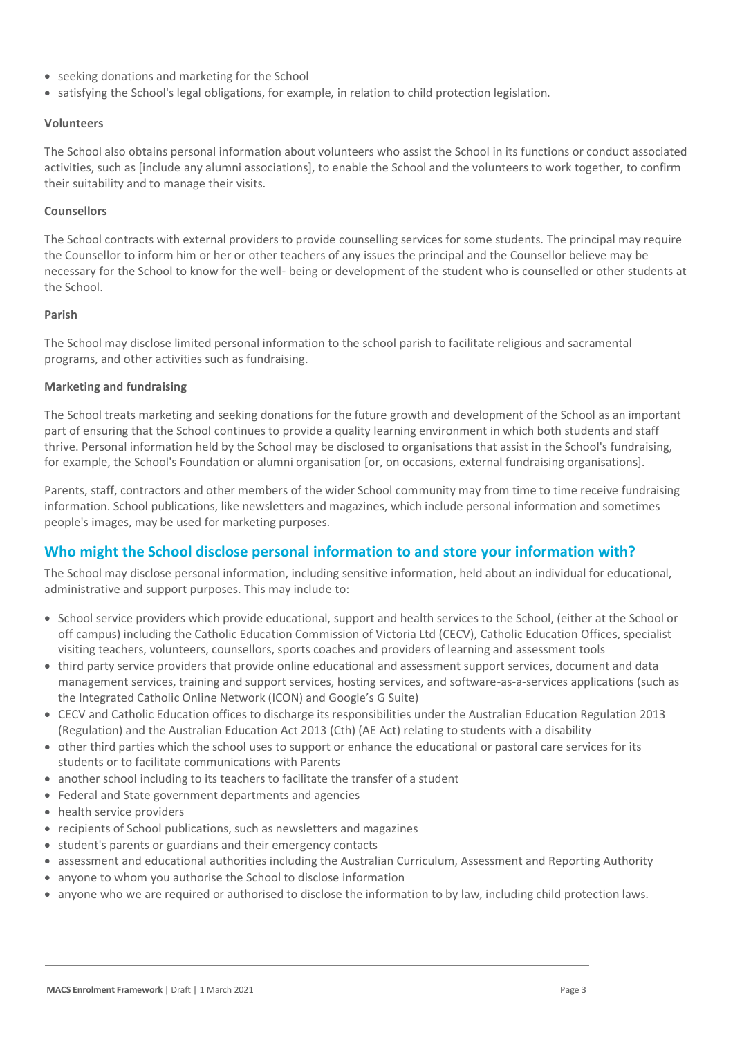- seeking donations and marketing for the School
- satisfying the School's legal obligations, for example, in relation to child protection legislation.

#### **Volunteers**

The School also obtains personal information about volunteers who assist the School in its functions or conduct associated activities, such as [include any alumni associations], to enable the School and the volunteers to work together, to confirm their suitability and to manage their visits.

#### **Counsellors**

The School contracts with external providers to provide counselling services for some students. The principal may require the Counsellor to inform him or her or other teachers of any issues the principal and the Counsellor believe may be necessary for the School to know for the well- being or development of the student who is counselled or other students at the School.

## **Parish**

The School may disclose limited personal information to the school parish to facilitate religious and sacramental programs, and other activities such as fundraising.

## **Marketing and fundraising**

The School treats marketing and seeking donations for the future growth and development of the School as an important part of ensuring that the School continues to provide a quality learning environment in which both students and staff thrive. Personal information held by the School may be disclosed to organisations that assist in the School's fundraising, for example, the School's Foundation or alumni organisation [or, on occasions, external fundraising organisations].

Parents, staff, contractors and other members of the wider School community may from time to time receive fundraising information. School publications, like newsletters and magazines, which include personal information and sometimes people's images, may be used for marketing purposes.

# **Who might the School disclose personal information to and store your information with?**

The School may disclose personal information, including sensitive information, held about an individual for educational, administrative and support purposes. This may include to:

- School service providers which provide educational, support and health services to the School, (either at the School or off campus) including the Catholic Education Commission of Victoria Ltd (CECV), Catholic Education Offices, specialist visiting teachers, volunteers, counsellors, sports coaches and providers of learning and assessment tools
- third party service providers that provide online educational and assessment support services, document and data management services, training and support services, hosting services, and software-as-a-services applications (such as the Integrated Catholic Online Network (ICON) and Google's G Suite)
- CECV and Catholic Education offices to discharge its responsibilities under the Australian Education Regulation 2013 (Regulation) and the Australian Education Act 2013 (Cth) (AE Act) relating to students with a disability
- other third parties which the school uses to support or enhance the educational or pastoral care services for its students or to facilitate communications with Parents
- another school including to its teachers to facilitate the transfer of a student
- Federal and State government departments and agencies
- health service providers
- recipients of School publications, such as newsletters and magazines
- student's parents or guardians and their emergency contacts
- assessment and educational authorities including the Australian Curriculum, Assessment and Reporting Authority
- anyone to whom you authorise the School to disclose information
- anyone who we are required or authorised to disclose the information to by law, including child protection laws.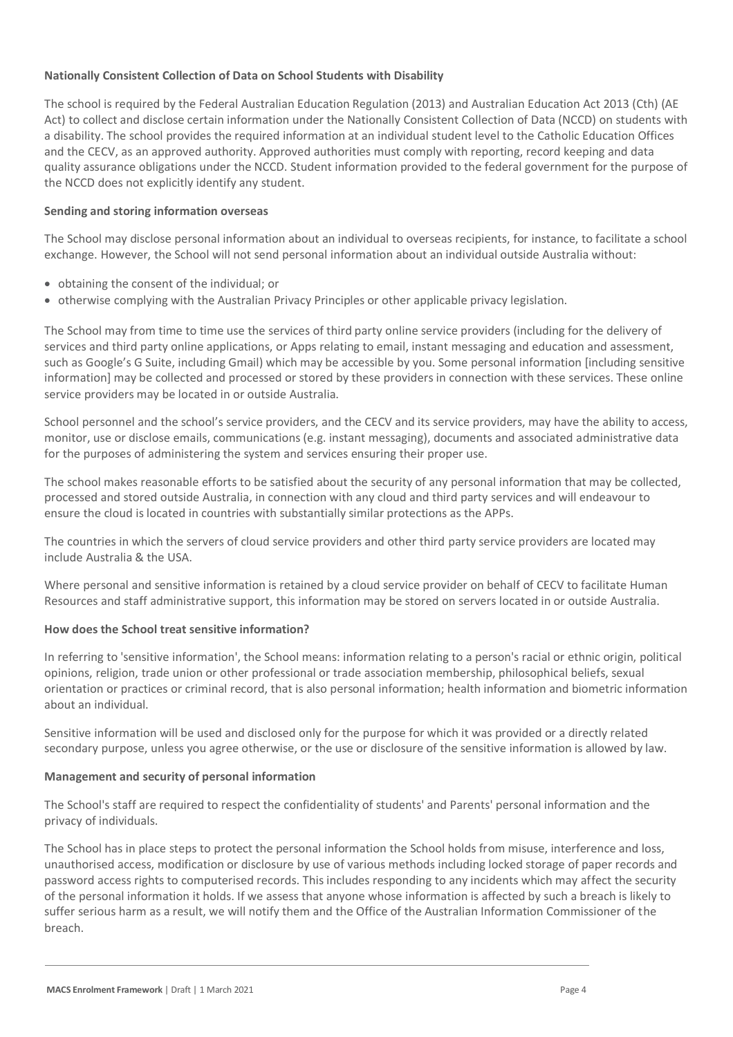# **Nationally Consistent Collection of Data on School Students with Disability**

The school is required by the Federal Australian Education Regulation (2013) and Australian Education Act 2013 (Cth) (AE Act) to collect and disclose certain information under the Nationally Consistent Collection of Data (NCCD) on students with a disability. The school provides the required information at an individual student level to the Catholic Education Offices and the CECV, as an approved authority. Approved authorities must comply with reporting, record keeping and data quality assurance obligations under the NCCD. Student information provided to the federal government for the purpose of the NCCD does not explicitly identify any student.

# **Sending and storing information overseas**

The School may disclose personal information about an individual to overseas recipients, for instance, to facilitate a school exchange. However, the School will not send personal information about an individual outside Australia without:

- obtaining the consent of the individual; or
- otherwise complying with the Australian Privacy Principles or other applicable privacy legislation.

The School may from time to time use the services of third party online service providers (including for the delivery of services and third party online applications, or Apps relating to email, instant messaging and education and assessment, such as Google's G Suite, including Gmail) which may be accessible by you. Some personal information [including sensitive information] may be collected and processed or stored by these providers in connection with these services. These online service providers may be located in or outside Australia.

School personnel and the school's service providers, and the CECV and its service providers, may have the ability to access, monitor, use or disclose emails, communications (e.g. instant messaging), documents and associated administrative data for the purposes of administering the system and services ensuring their proper use.

The school makes reasonable efforts to be satisfied about the security of any personal information that may be collected, processed and stored outside Australia, in connection with any cloud and third party services and will endeavour to ensure the cloud is located in countries with substantially similar protections as the APPs.

The countries in which the servers of cloud service providers and other third party service providers are located may include Australia & the USA.

Where personal and sensitive information is retained by a cloud service provider on behalf of CECV to facilitate Human Resources and staff administrative support, this information may be stored on servers located in or outside Australia.

#### **How does the School treat sensitive information?**

In referring to 'sensitive information', the School means: information relating to a person's racial or ethnic origin, political opinions, religion, trade union or other professional or trade association membership, philosophical beliefs, sexual orientation or practices or criminal record, that is also personal information; health information and biometric information about an individual.

Sensitive information will be used and disclosed only for the purpose for which it was provided or a directly related secondary purpose, unless you agree otherwise, or the use or disclosure of the sensitive information is allowed by law.

#### **Management and security of personal information**

The School's staff are required to respect the confidentiality of students' and Parents' personal information and the privacy of individuals.

The School has in place steps to protect the personal information the School holds from misuse, interference and loss, unauthorised access, modification or disclosure by use of various methods including locked storage of paper records and password access rights to computerised records. This includes responding to any incidents which may affect the security of the personal information it holds. If we assess that anyone whose information is affected by such a breach is likely to suffer serious harm as a result, we will notify them and the Office of the Australian Information Commissioner of the breach.